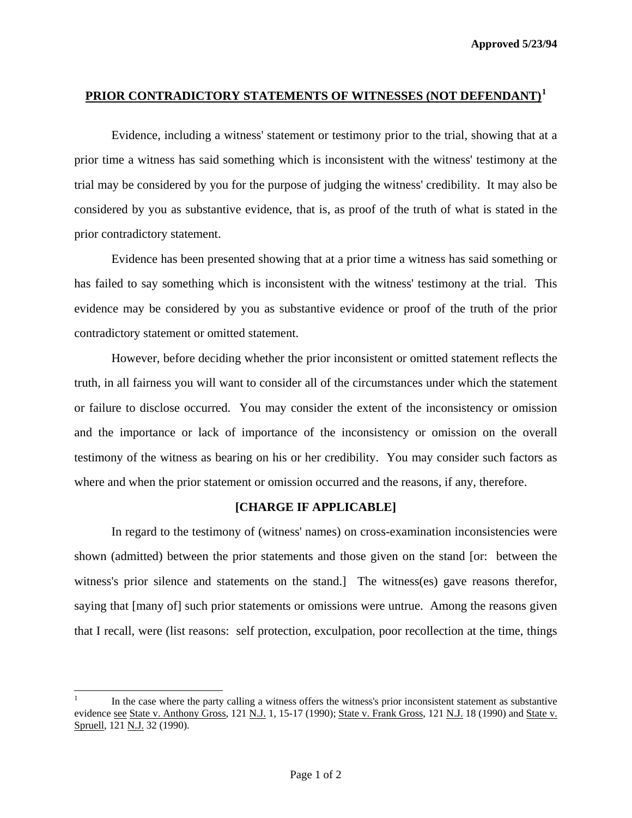## **PRIOR CONTRADICTORY STATEMENTS OF WITNESSES (NOT DEFENDANT)[1](#page-0-0)**

 Evidence, including a witness' statement or testimony prior to the trial, showing that at a prior time a witness has said something which is inconsistent with the witness' testimony at the trial may be considered by you for the purpose of judging the witness' credibility. It may also be considered by you as substantive evidence, that is, as proof of the truth of what is stated in the prior contradictory statement.

 Evidence has been presented showing that at a prior time a witness has said something or has failed to say something which is inconsistent with the witness' testimony at the trial. This evidence may be considered by you as substantive evidence or proof of the truth of the prior contradictory statement or omitted statement.

 However, before deciding whether the prior inconsistent or omitted statement reflects the truth, in all fairness you will want to consider all of the circumstances under which the statement or failure to disclose occurred. You may consider the extent of the inconsistency or omission and the importance or lack of importance of the inconsistency or omission on the overall testimony of the witness as bearing on his or her credibility. You may consider such factors as where and when the prior statement or omission occurred and the reasons, if any, therefore.

## **[CHARGE IF APPLICABLE]**

 In regard to the testimony of (witness' names) on cross-examination inconsistencies were shown (admitted) between the prior statements and those given on the stand [or: between the witness's prior silence and statements on the stand.] The witness(es) gave reasons therefor, saying that [many of] such prior statements or omissions were untrue. Among the reasons given that I recall, were (list reasons: self protection, exculpation, poor recollection at the time, things

l

<span id="page-0-0"></span><sup>1</sup> In the case where the party calling a witness offers the witness's prior inconsistent statement as substantive evidence see State v. Anthony Gross, 121 N.J. 1, 15-17 (1990); State v. Frank Gross, 121 N.J. 18 (1990) and State v. Spruell, 121 N.J. 32 (1990).